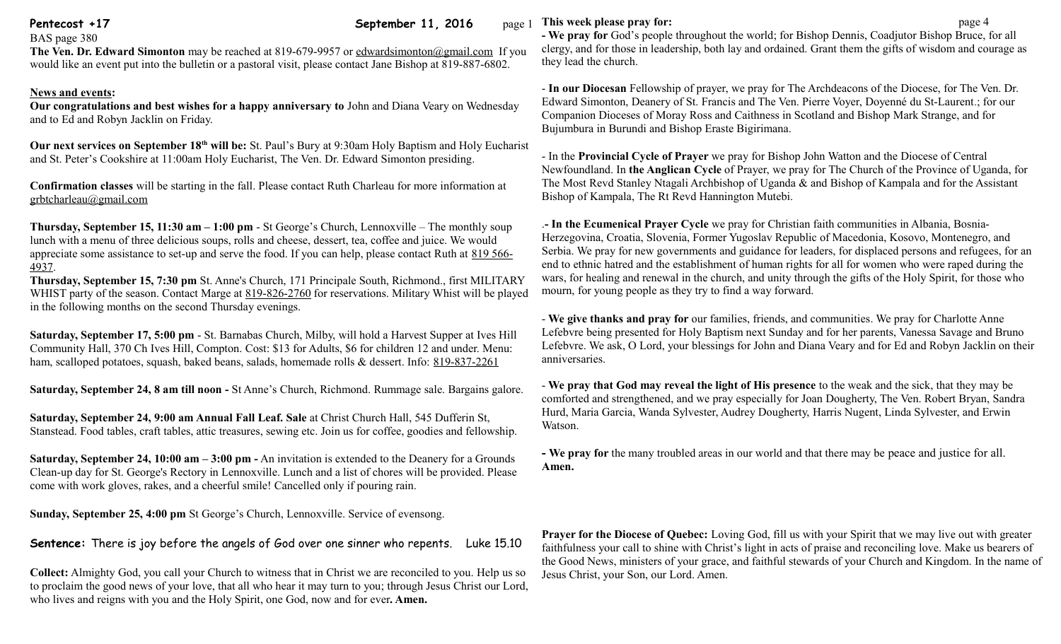**Pentecost +17 September 11, 2016** page 1

# BAS page 380

**The Ven. Dr. Edward Simonton** may be reached at 819-679-9957 or [edwardsimonton@gmail.com](mailto:edwardsimonton@gmail.com) If you would like an event put into the bulletin or a pastoral visit, please contact Jane Bishop at 819-887-6802.

## **News and events:**

**Our congratulations and best wishes for a happy anniversary to** John and Diana Veary on Wednesday and to Ed and Robyn Jacklin on Friday.

**Our next services on September 18th will be:** St. Paul's Bury at 9:30am Holy Baptism and Holy Eucharist and St. Peter's Cookshire at 11:00am Holy Eucharist, The Ven. Dr. Edward Simonton presiding.

**Confirmation classes** will be starting in the fall. Please contact Ruth Charleau for more information at [grbtcharleau@gmail.com](mailto:grbtcharleau@gmail.com) 

**Thursday, September 15, 11:30 am – 1:00 pm** - St George's Church, Lennoxville – The monthly soup lunch with a menu of three delicious soups, rolls and cheese, dessert, tea, coffee and juice. We would appreciate some assistance to set-up and serve the food. If you can help, please contact Ruth at [819 566-](tel:819%20566-4937) [4937.](tel:819%20566-4937)

**Thursday, September 15, 7:30 pm** St. Anne's Church, 171 Principale South, Richmond., first MILITARY WHIST party of the season. Contact Marge at [819-826-2760](tel:819-826-2760) for reservations. Military Whist will be played in the following months on the second Thursday evenings.

**Saturday, September 17, 5:00 pm** - St. Barnabas Church, Milby, will hold a Harvest Supper at Ives Hill Community Hall, 370 Ch Ives Hill, Compton. Cost: \$13 for Adults, \$6 for children 12 and under. Menu: ham, scalloped potatoes, squash, baked beans, salads, homemade rolls & dessert. Info: [819-837-2261](tel:819-837-2261)

**Saturday, September 24, 8 am till noon -** St Anne's Church, Richmond. Rummage sale. Bargains galore.

**Saturday, September 24, 9:00 am Annual Fall Leaf. Sale** at Christ Church Hall, 545 Dufferin St, Stanstead. Food tables, craft tables, attic treasures, sewing etc. Join us for coffee, goodies and fellowship.

**Saturday, September 24, 10:00 am – 3:00 pm -** An invitation is extended to the Deanery for a Grounds Clean-up day for St. George's Rectory in Lennoxville. Lunch and a list of chores will be provided. Please come with work gloves, rakes, and a cheerful smile! Cancelled only if pouring rain.

**Sunday, September 25, 4:00 pm** St George's Church, Lennoxville. Service of evensong.

**Sentence:** There is joy before the angels of God over one sinner who repents. Luke 15.10

**Collect:** Almighty God, you call your Church to witness that in Christ we are reconciled to you. Help us so to proclaim the good news of your love, that all who hear it may turn to you; through Jesus Christ our Lord, who lives and reigns with you and the Holy Spirit, one God, now and for ever**. Amen.**

### **This week please pray for: page 4**

**- We pray for** God's people throughout the world; for Bishop Dennis, Coadjutor Bishop Bruce, for all clergy, and for those in leadership, both lay and ordained. Grant them the gifts of wisdom and courage as they lead the church.

- **In our Diocesan** Fellowship of prayer, we pray for The Archdeacons of the Diocese, for The Ven. Dr. Edward Simonton, Deanery of St. Francis and The Ven. Pierre Voyer, Doyenné du St-Laurent.; for our Companion Dioceses of Moray Ross and Caithness in Scotland and Bishop Mark Strange, and for Bujumbura in Burundi and Bishop Eraste Bigirimana.

- In the **Provincial Cycle of Prayer** we pray for Bishop John Watton and the Diocese of Central Newfoundland. In **the Anglican Cycle** of Prayer, we pray for The Church of the Province of Uganda, for The Most Revd Stanley Ntagali Archbishop of Uganda & and Bishop of Kampala and for the Assistant Bishop of Kampala, The Rt Revd Hannington Mutebi.

.**- In the Ecumenical Prayer Cycle** we pray for Christian faith communities in Albania, Bosnia-Herzegovina, Croatia, Slovenia, Former Yugoslav Republic of Macedonia, Kosovo, Montenegro, and Serbia. We pray for new governments and guidance for leaders, for displaced persons and refugees, for an end to ethnic hatred and the establishment of human rights for all for women who were raped during the wars, for healing and renewal in the church, and unity through the gifts of the Holy Spirit, for those who mourn, for young people as they try to find a way forward.

- **We give thanks and pray for** our families, friends, and communities. We pray for Charlotte Anne Lefebvre being presented for Holy Baptism next Sunday and for her parents, Vanessa Savage and Bruno Lefebvre. We ask, O Lord, your blessings for John and Diana Veary and for Ed and Robyn Jacklin on their anniversaries.

- **We pray that God may reveal the light of His presence** to the weak and the sick, that they may be comforted and strengthened, and we pray especially for Joan Dougherty, The Ven. Robert Bryan, Sandra Hurd, Maria Garcia, Wanda Sylvester, Audrey Dougherty, Harris Nugent, Linda Sylvester, and Erwin Watson.

**- We pray for** the many troubled areas in our world and that there may be peace and justice for all. **Amen.**

**Prayer for the Diocese of Quebec:** Loving God, fill us with your Spirit that we may live out with greater faithfulness your call to shine with Christ's light in acts of praise and reconciling love. Make us bearers of the Good News, ministers of your grace, and faithful stewards of your Church and Kingdom. In the name of Jesus Christ, your Son, our Lord. Amen.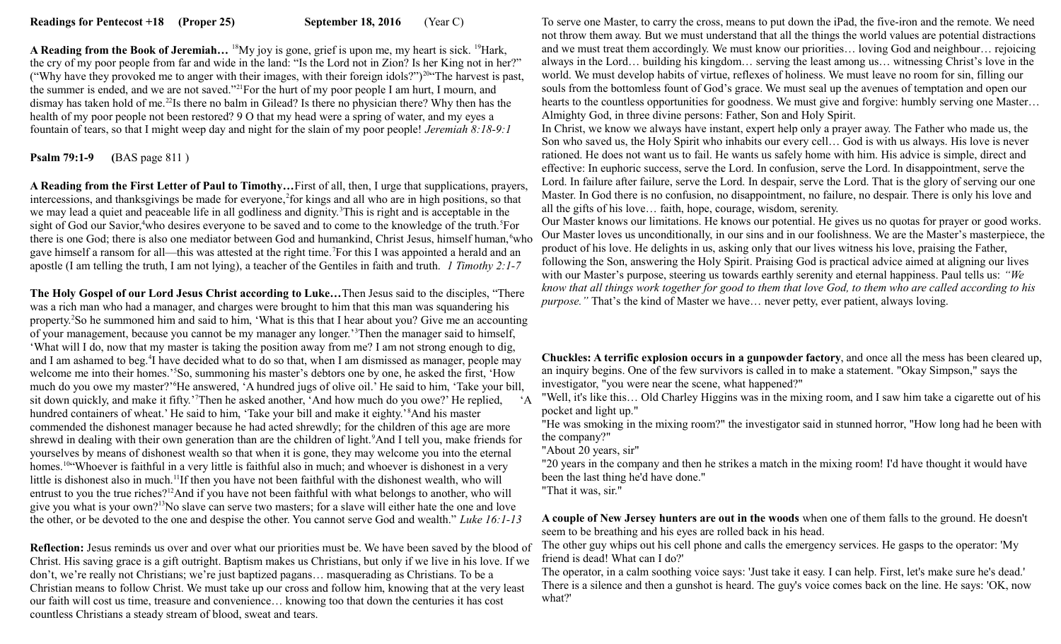**A Reading from the Book of Jeremiah...** <sup>18</sup>My joy is gone, grief is upon me, my heart is sick. <sup>19</sup>Hark, the cry of my poor people from far and wide in the land: "Is the Lord not in Zion? Is her King not in her?" ("Why have they provoked me to anger with their images, with their foreign idols?")<sup>20</sup>"The harvest is past, the summer is ended, and we are not saved."<sup>21</sup>For the hurt of my poor people I am hurt, I mourn, and dismay has taken hold of me.<sup>22</sup>Is there no balm in Gilead? Is there no physician there? Why then has the health of my poor people not been restored? 9 O that my head were a spring of water, and my eyes a fountain of tears, so that I might weep day and night for the slain of my poor people! *Jeremiah 8:18-9:1* 

## **Psalm 79:1-9 (**BAS page 811 )

**A Reading from the First Letter of Paul to Timothy…**First of all, then, I urge that supplications, prayers, intercessions, and thanksgivings be made for everyone,<sup>2</sup> for kings and all who are in high positions, so that we may lead a quiet and peaceable life in all godliness and dignity.<sup>3</sup>This is right and is acceptable in the sight of God our Savior,<sup>4</sup>who desires everyone to be saved and to come to the knowledge of the truth.<sup>5</sup>For there is one God; there is also one mediator between God and humankind, Christ Jesus, himself human, who gave himself a ransom for all—this was attested at the right time.<sup>7</sup>For this I was appointed a herald and an apostle (I am telling the truth, I am not lying), a teacher of the Gentiles in faith and truth. *1 Timothy 2:1-7*

**The Holy Gospel of our Lord Jesus Christ according to Luke…**Then Jesus said to the disciples, "There was a rich man who had a manager, and charges were brought to him that this man was squandering his property.<sup>2</sup>So he summoned him and said to him, 'What is this that I hear about you? Give me an accounting of your management, because you cannot be my manager any longer.'<sup>3</sup>Then the manager said to himself, 'What will I do, now that my master is taking the position away from me? I am not strong enough to dig, and I am ashamed to beg.<sup>4</sup>I have decided what to do so that, when I am dismissed as manager, people may welcome me into their homes.'<sup>5</sup>So, summoning his master's debtors one by one, he asked the first, 'How much do you owe my master?'<sup>6</sup>He answered, 'A hundred jugs of olive oil.' He said to him, 'Take your bill, sit down quickly, and make it fifty.'<sup>7</sup>Then he asked another, 'And how much do you owe?' He replied, 'A hundred containers of wheat.' He said to him, 'Take your bill and make it eighty.'<sup>8</sup>And his master commended the dishonest manager because he had acted shrewdly; for the children of this age are more shrewd in dealing with their own generation than are the children of light.<sup>9</sup>And I tell you, make friends for yourselves by means of dishonest wealth so that when it is gone, they may welcome you into the eternal homes.<sup>10"</sup>Whoever is faithful in a very little is faithful also in much; and whoever is dishonest in a very little is dishonest also in much.<sup>11</sup>If then you have not been faithful with the dishonest wealth, who will entrust to you the true riches?<sup>12</sup>And if you have not been faithful with what belongs to another, who will give you what is your own?<sup>13</sup>No slave can serve two masters; for a slave will either hate the one and love the other, or be devoted to the one and despise the other. You cannot serve God and wealth." *Luke 16:1-13*

**Reflection:** Jesus reminds us over and over what our priorities must be. We have been saved by the blood of Christ. His saving grace is a gift outright. Baptism makes us Christians, but only if we live in his love. If we don't, we're really not Christians; we're just baptized pagans… masquerading as Christians. To be a Christian means to follow Christ. We must take up our cross and follow him, knowing that at the very least our faith will cost us time, treasure and convenience… knowing too that down the centuries it has cost countless Christians a steady stream of blood, sweat and tears.

To serve one Master, to carry the cross, means to put down the iPad, the five-iron and the remote. We need not throw them away. But we must understand that all the things the world values are potential distractions and we must treat them accordingly. We must know our priorities… loving God and neighbour… rejoicing always in the Lord… building his kingdom… serving the least among us… witnessing Christ's love in the world. We must develop habits of virtue, reflexes of holiness. We must leave no room for sin, filling our souls from the bottomless fount of God's grace. We must seal up the avenues of temptation and open our hearts to the countless opportunities for goodness. We must give and forgive: humbly serving one Master... Almighty God, in three divine persons: Father, Son and Holy Spirit.

In Christ, we know we always have instant, expert help only a prayer away. The Father who made us, the Son who saved us, the Holy Spirit who inhabits our every cell… God is with us always. His love is never rationed. He does not want us to fail. He wants us safely home with him. His advice is simple, direct and effective: In euphoric success, serve the Lord. In confusion, serve the Lord. In disappointment, serve the Lord. In failure after failure, serve the Lord. In despair, serve the Lord. That is the glory of serving our one Master. In God there is no confusion, no disappointment, no failure, no despair. There is only his love and all the gifts of his love… faith, hope, courage, wisdom, serenity.

Our Master knows our limitations. He knows our potential. He gives us no quotas for prayer or good works. Our Master loves us unconditionally, in our sins and in our foolishness. We are the Master's masterpiece, the product of his love. He delights in us, asking only that our lives witness his love, praising the Father, following the Son, answering the Holy Spirit. Praising God is practical advice aimed at aligning our lives with our Master's purpose, steering us towards earthly serenity and eternal happiness. Paul tells us: *"We know that all things work together for good to them that love God, to them who are called according to his purpose."* That's the kind of Master we have… never petty, ever patient, always loving.

**Chuckles: A terrific explosion occurs in a gunpowder factory**, and once all the mess has been cleared up, an inquiry begins. One of the few survivors is called in to make a statement. "Okay Simpson," says the investigator, "you were near the scene, what happened?"

"Well, it's like this… Old Charley Higgins was in the mixing room, and I saw him take a cigarette out of his pocket and light up."

"He was smoking in the mixing room?" the investigator said in stunned horror, "How long had he been with the company?"

"About 20 years, sir"

"20 years in the company and then he strikes a match in the mixing room! I'd have thought it would have been the last thing he'd have done."

"That it was, sir."

**A couple of New Jersey hunters are out in the woods** when one of them falls to the ground. He doesn't seem to be breathing and his eyes are rolled back in his head.

The other guy whips out his cell phone and calls the emergency services. He gasps to the operator: 'My friend is dead! What can I do?'

The operator, in a calm soothing voice says: 'Just take it easy. I can help. First, let's make sure he's dead.' There is a silence and then a gunshot is heard. The guy's voice comes back on the line. He says: 'OK, now what?'